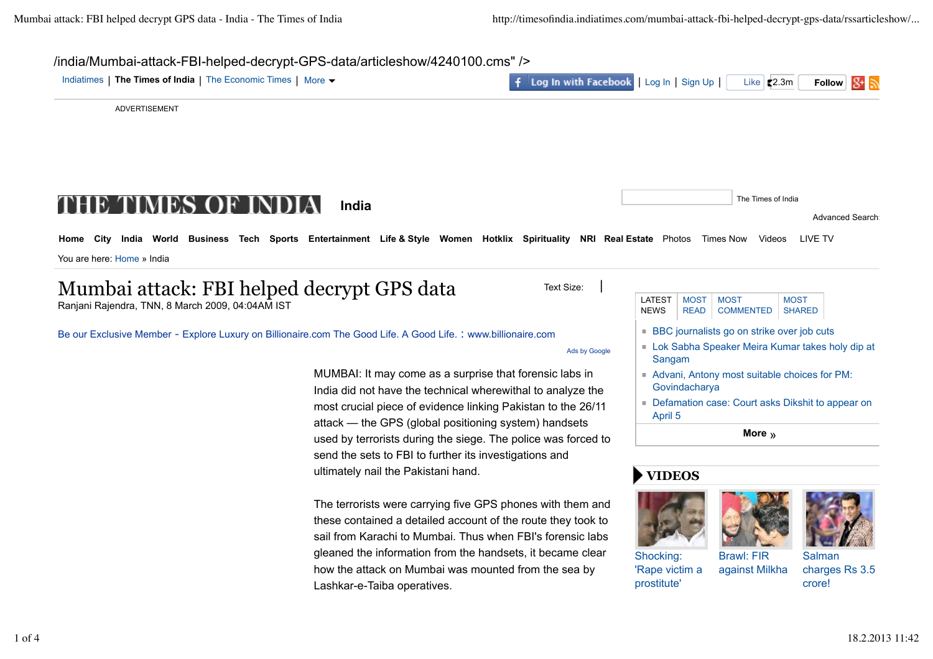